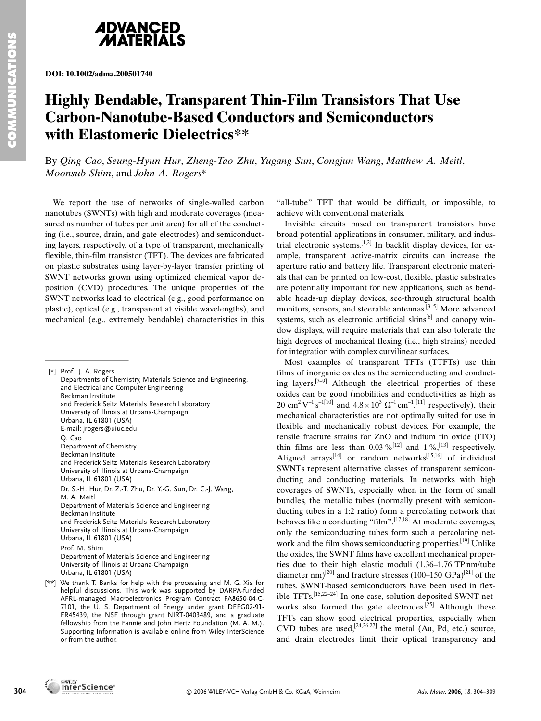

**DOI: 10.1002/adma.200501740**

## **Highly Bendable, Transparent Thin-Film Transistors That Use Carbon-Nanotube-Based Conductors and Semiconductors with Elastomeric Dielectrics\*\***

By *Qing Cao*, *Seung-Hyun Hur*, *Zheng-Tao Zhu*, *Yugang Sun*, *Congjun Wang*, *Matthew A. Meitl*, *Moonsub Shim*, and *John A. Rogers*\*

We report the use of networks of single-walled carbon nanotubes (SWNTs) with high and moderate coverages (measured as number of tubes per unit area) for all of the conducting (i.e., source, drain, and gate electrodes) and semiconducting layers, respectively, of a type of transparent, mechanically flexible, thin-film transistor (TFT). The devices are fabricated on plastic substrates using layer-by-layer transfer printing of SWNT networks grown using optimized chemical vapor deposition (CVD) procedures. The unique properties of the SWNT networks lead to electrical (e.g., good performance on plastic), optical (e.g., transparent at visible wavelengths), and mechanical (e.g., extremely bendable) characteristics in this ing layers, respectively,<br>flexible, thin-film transi<br>on plastic substrates us<br>SWNT networks grown<br>position (CVD) proces<br>SWNT networks lead to<br>plastic), optical (e.g., tr.<br>mechanical (e.g., extrendinal plastic), extremediat

[\*] Prof. J. A. Rogers Departments of Chemistry, Materials Science and Engineering, and Electrical and Computer Engineering Beckman Institute and Frederick Seitz Materials Research Laboratory University of Illinois at Urbana-Champaign Urbana, IL 61801 (USA) E-mail: jrogers@uiuc.edu Q. Cao Department of Chemistry Beckman Institute and Frederick Seitz Materials Research Laboratory University of Illinois at Urbana-Champaign Urbana, IL 61801 (USA) Dr. S.-H. Hur, Dr. Z.-T. Zhu, Dr. Y.-G. Sun, Dr. C.-J. Wang, M. A. Meitl Department of Materials Science and Engineering Beckman Institute and Frederick Seitz Materials Research Laboratory University of Illinois at Urbana-Champaign Urbana, IL 61801 (USA) Prof. M. Shim Department of Materials Science and Engineering University of Illinois at Urbana-Champaign Urbana, IL 61801 (USA) [\*\*] We thank T. Banks for help with the processing and M. G. Xia for

helpful discussions. This work was supported by DARPA-funded AFRL-managed Macroelectronics Program Contract FA8650-04-C-7101, the U. S. Department of Energy under grant DEFG02-91- ER45439, the NSF through grant NIRT-0403489, and a graduate fellowship from the Fannie and John Hertz Foundation (M. A. M.). Supporting Information is available online from Wiley InterScience or from the author.

"all-tube" TFT that would be difficult, or impossible, to achieve with conventional materials.

Invisible circuits based on transparent transistors have broad potential applications in consumer, military, and industrial electronic systems.[1,2] In backlit display devices, for example, transparent active-matrix circuits can increase the aperture ratio and battery life. Transparent electronic materials that can be printed on low-cost, flexible, plastic substrates are potentially important for new applications, such as bendable heads-up display devices, see-through structural health monitors, sensors, and steerable antennas.<sup>[3-5]</sup> More advanced systems, such as electronic artificial skins $[6]$  and canopy window displays, will require materials that can also tolerate the high degrees of mechanical flexing (i.e., high strains) needed for integration with complex curvilinear surfaces.

Most examples of transparent TFTs (TTFTs) use thin films of inorganic oxides as the semiconducting and conducting layers.<sup>[7–9]</sup> Although the electrical properties of these oxides can be good (mobilities and conductivities as high as 20 cm<sup>2</sup> V<sup>-1</sup> s<sup>-1[10]</sup> and  $4.8 \times 10^3 \Omega^{-1}$  cm<sup>-1</sup>,<sup>[11]</sup> respectively), their mechanical characteristics are not optimally suited for use in flexible and mechanically robust devices. For example, the tensile fracture strains for ZnO and indium tin oxide (ITO) thin films are less than  $0.03\%$ <sup>[12]</sup> and  $1\%$ ,<sup>[13]</sup> respectively. Aligned arrays<sup>[14]</sup> or random networks<sup>[15,16]</sup> of individual SWNTs represent alternative classes of transparent semiconducting and conducting materials. In networks with high coverages of SWNTs, especially when in the form of small bundles, the metallic tubes (normally present with semiconducting tubes in a 1:2 ratio) form a percolating network that behaves like a conducting "film".<sup>[17,18]</sup> At moderate coverages, only the semiconducting tubes form such a percolating network and the film shows semiconducting properties.<sup>[19]</sup> Unlike the oxides, the SWNT films have excellent mechanical properties due to their high elastic moduli (1.36–1.76 TP nm/tube diameter nm)<sup>[20]</sup> and fracture stresses (100–150 GPa)<sup>[21]</sup> of the tubes. SWNT-based semiconductors have been used in flexible TFTs.[15,22–24] In one case, solution-deposited SWNT networks also formed the gate electrodes.<sup>[25]</sup> Although these TFTs can show good electrical properties, especially when CVD tubes are used,<sup>[24,26,27]</sup> the metal (Au, Pd, etc.) source, and drain electrodes limit their optical transparency and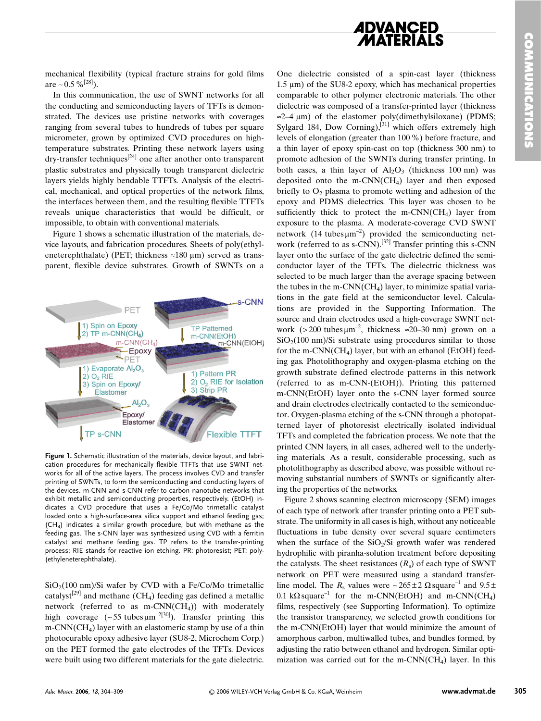

mechanical flexibility (typical fracture strains for gold films are ~ 0.5 %<sup>[28]</sup>).

In this communication, the use of SWNT networks for all the conducting and semiconducting layers of TFTs is demonstrated. The devices use pristine networks with coverages ranging from several tubes to hundreds of tubes per square micrometer, grown by optimized CVD procedures on hightemperature substrates. Printing these network layers using  $\text{dry-transfer techniques}^{[24]}$  one after another onto transparent plastic substrates and physically tough transparent dielectric layers yields highly bendable TTFTs. Analysis of the electrical, mechanical, and optical properties of the network films, the interfaces between them, and the resulting flexible TTFTs reveals unique characteristics that would be difficult, or impossible, to obtain with conventional materials.

Figure 1 shows a schematic illustration of the materials, device layouts, and fabrication procedures. Sheets of poly(ethyleneterephthalate) (PET; thickness  $\approx 180 \text{ }\mu\text{m}$ ) served as transparent, flexible device substrates. Growth of SWNTs on a



**Figure 1.** Schematic illustration of the materials, device layout, and fabrication procedures for mechanically flexible TTFTs that use SWNT networks for all of the active layers. The process involves CVD and transfer printing of SWNTs, to form the semiconducting and conducting layers of the devices. m-CNN and s-CNN refer to carbon nanotube networks that exhibit metallic and semiconducting properties, respectively. (EtOH) indicates a CVD procedure that uses a Fe/Co/Mo trimetallic catalyst loaded onto a high-surface-area silica support and ethanol feeding gas; (CH4) indicates a similar growth procedure, but with methane as the feeding gas. The s-CNN layer was synthesized using CVD with a ferritin catalyst and methane feeding gas. TP refers to the transfer-printing process; RIE stands for reactive ion etching. PR: photoresist; PET: poly- (ethyleneterephthalate).

 $SiO<sub>2</sub>(100 nm)/Si$  wafer by CVD with a Fe/Co/Mo trimetallic catalyst<sup>[29]</sup> and methane (CH<sub>4</sub>) feeding gas defined a metallic network (referred to as m-CNN( $CH<sub>4</sub>$ )) with moderately high coverage (~55 tubes  $\mu$ m<sup>-2[30]</sup>). Transfer printing this  $m-CNN(CH<sub>4</sub>)$  layer with an elastomeric stamp by use of a thin photocurable epoxy adhesive layer (SU8-2, Microchem Corp.) on the PET formed the gate electrodes of the TFTs. Devices were built using two different materials for the gate dielectric.

One dielectric consisted of a spin-cast layer (thickness  $1.5 \mu m$ ) of the SU8-2 epoxy, which has mechanical properties comparable to other polymer electronic materials. The other dielectric was composed of a transfer-printed layer (thickness  $\approx$ 2–4 µm) of the elastomer poly(dimethylsiloxane) (PDMS; Sylgard 184, Dow Corning), $^{[31]}$  which offers extremely high levels of elongation (greater than 100 %) before fracture, and a thin layer of epoxy spin-cast on top (thickness 300 nm) to promote adhesion of the SWNTs during transfer printing. In both cases, a thin layer of  $Al_2O_3$  (thickness 100 nm) was deposited onto the m-CNN( $CH<sub>4</sub>$ ) layer and then exposed briefly to  $O<sub>2</sub>$  plasma to promote wetting and adhesion of the epoxy and PDMS dielectrics. This layer was chosen to be sufficiently thick to protect the m-CNN( $CH<sub>4</sub>$ ) layer from exposure to the plasma. A moderate-coverage CVD SWNT network  $(14 \text{ tubes }\mu\text{m}^{-2})$  provided the semiconducting network (referred to as s-CNN).<sup>[32]</sup> Transfer printing this s-CNN layer onto the surface of the gate dielectric defined the semiconductor layer of the TFTs. The dielectric thickness was selected to be much larger than the average spacing between the tubes in the m-CNN(CH<sub>4</sub>) layer, to minimize spatial variations in the gate field at the semiconductor level. Calculations are provided in the Supporting Information. The source and drain electrodes used a high-coverage SWNT network (> 200 tubes  $\mu$ m<sup>-2</sup>, thickness ≈ 20–30 nm) grown on a  $SiO<sub>2</sub>(100 nm)/Si$  substrate using procedures similar to those for the m-CNN(CH<sub>4</sub>) layer, but with an ethanol (EtOH) feeding gas. Photolithography and oxygen-plasma etching on the growth substrate defined electrode patterns in this network (referred to as m-CNN-(EtOH)). Printing this patterned m-CNN(EtOH) layer onto the s-CNN layer formed source and drain electrodes electrically contacted to the semiconductor. Oxygen-plasma etching of the s-CNN through a photopatterned layer of photoresist electrically isolated individual TFTs and completed the fabrication process. We note that the printed CNN layers, in all cases, adhered well to the underlying materials. As a result, considerable processing, such as photolithography as described above, was possible without removing substantial numbers of SWNTs or significantly altering the properties of the networks.

Figure 2 shows scanning electron microscopy (SEM) images of each type of network after transfer printing onto a PET substrate. The uniformity in all cases is high, without any noticeable fluctuations in tube density over several square centimeters when the surface of the  $SiO<sub>2</sub>/Si$  growth wafer was rendered hydrophilic with piranha-solution treatment before depositing the catalysts. The sheet resistances  $(R_s)$  of each type of SWNT network on PET were measured using a standard transferline model. The *R*<sub>s</sub> values were ~265 ± 2  $\Omega$  square<sup>-1</sup> and 9.5 ± 0.1 k $\Omega$  square<sup>-1</sup> for the m-CNN(EtOH) and m-CNN(CH<sub>4</sub>) films, respectively (see Supporting Information). To optimize the transistor transparency, we selected growth conditions for the m-CNN(EtOH) layer that would minimize the amount of amorphous carbon, multiwalled tubes, and bundles formed, by adjusting the ratio between ethanol and hydrogen. Similar optimization was carried out for the m-CNN(CH<sub>4</sub>) layer. In this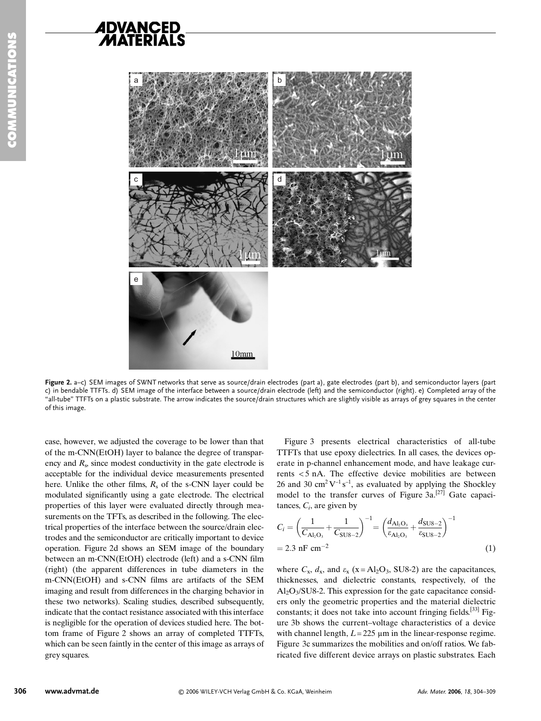

**COMMUNICATIONS**



Figure 2. a–c) SEM images of SWNT networks that serve as source/drain electrodes (part a), gate electrodes (part b), and semiconductor layers (part c) in bendable TTFTs. d) SEM image of the interface between a source/drain electrode (left) and the semiconductor (right). e) Completed array of the "all-tube" TTFTs on a plastic substrate. The arrow indicates the source/drain structures which are slightly visible as arrays of grey squares in the center of this image.

case, however, we adjusted the coverage to be lower than that of the m-CNN(EtOH) layer to balance the degree of transparency and  $R_s$ , since modest conductivity in the gate electrode is acceptable for the individual device measurements presented here. Unlike the other films,  $R_s$  of the s-CNN layer could be modulated significantly using a gate electrode. The electrical properties of this layer were evaluated directly through measurements on the TFTs, as described in the following. The electrical properties of the interface between the source/drain electrodes and the semiconductor are critically important to device operation. Figure 2d shows an SEM image of the boundary between an m-CNN(EtOH) electrode (left) and a s-CNN film (right) (the apparent differences in tube diameters in the m-CNN(EtOH) and s-CNN films are artifacts of the SEM imaging and result from differences in the charging behavior in these two networks). Scaling studies, described subsequently, indicate that the contact resistance associated with this interface is negligible for the operation of devices studied here. The bottom frame of Figure 2 shows an array of completed TTFTs, which can be seen faintly in the center of this image as arrays of grey squares.

Figure 3 presents electrical characteristics of all-tube TTFTs that use epoxy dielectrics. In all cases, the devices operate in p-channel enhancement mode, and have leakage currents < 5 nA. The effective device mobilities are between 26 and 30 cm<sup>2</sup>  $\mathrm{V}^{-1}\mathrm{s}^{-1}$ , as evaluated by applying the Shockley model to the transfer curves of Figure  $3a$ .<sup>[27]</sup> Gate capacitances,  $C_i$ , are given by

$$
C_i = \left(\frac{1}{C_{\text{Al}_2\text{O}_3}} + \frac{1}{C_{\text{SUS}-2}}\right)^{-1} = \left(\frac{d_{\text{Al}_2\text{O}_3}}{\varepsilon_{\text{Al}_2\text{O}_3}} + \frac{d_{\text{SUS}-2}}{\varepsilon_{\text{SUS}-2}}\right)^{-1}
$$
  
= 2.3 nF cm<sup>-2</sup> (1)

where  $C_x$ ,  $d_x$ , and  $\varepsilon_x$  (x = Al<sub>2</sub>O<sub>3</sub>, SU8-2) are the capacitances, thicknesses, and dielectric constants, respectively, of the  $Al_2O_3/SU8-2$ . This expression for the gate capacitance considers only the geometric properties and the material dielectric constants; it does not take into account fringing fields.<sup>[33]</sup> Figure 3b shows the current–voltage characteristics of a device with channel length,  $L = 225 \mu m$  in the linear-response regime. Figure 3c summarizes the mobilities and on/off ratios. We fabricated five different device arrays on plastic substrates. Each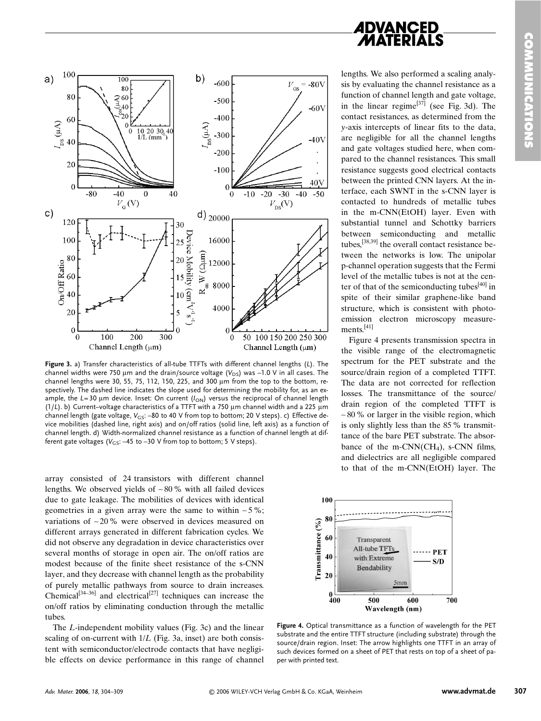

**Figure 3.** a) Transfer characteristics of all-tube TTFTs with different channel lengths (*L*). The channel widths were 750 µm and the drain/source voltage  $(V_{DS})$  was -1.0 V in all cases. The channel lengths were 30, 55, 75, 112, 150, 225, and 300  $\mu$ m from the top to the bottom, respectively. The dashed line indicates the slope used for determining the mobility for, as an example, the *L*=30 µm device. Inset: On current ( $I_{ON}$ ) versus the reciprocal of channel length  $(1/L)$ . b) Current-voltage characteristics of a TTFT with a 750  $\mu$ m channel width and a 225  $\mu$ m channel length (gate voltage, *V<sub>GS</sub>*: –80 to 40 V from top to bottom; 20 V steps). c) Effective device mobilities (dashed line, right axis) and on/off ratios (solid line, left axis) as a function of channel length. d) Width-normalized channel resistance as a function of channel length at different gate voltages ( $V_{GS}$ : -45 to -30 V from top to bottom; 5 V steps).

array consisted of 24 transistors with different channel lengths. We observed yields of ∼ 80 % with all failed devices due to gate leakage. The mobilities of devices with identical geometries in a given array were the same to within ∼ 5%; variations of ∼ 20% were observed in devices measured on different arrays generated in different fabrication cycles. We did not observe any degradation in device characteristics over several months of storage in open air. The on/off ratios are modest because of the finite sheet resistance of the s-CNN layer, and they decrease with channel length as the probability of purely metallic pathways from source to drain increases. Chemical<sup>[34–36]</sup> and electrical<sup>[27]</sup> techniques can increase the on/off ratios by eliminating conduction through the metallic tubes.

The *L*-independent mobility values (Fig. 3c) and the linear scaling of on-current with  $1/L$  (Fig. 3a, inset) are both consistent with semiconductor/electrode contacts that have negligible effects on device performance in this range of channel **ADVANCED** 

lengths. We also performed a scaling analysis by evaluating the channel resistance as a function of channel length and gate voltage, in the linear regime<sup>[37]</sup> (see Fig. 3d). The contact resistances, as determined from the *y*-axis intercepts of linear fits to the data, are negligible for all the channel lengths and gate voltages studied here, when compared to the channel resistances. This small resistance suggests good electrical contacts between the printed CNN layers. At the interface, each SWNT in the s-CNN layer is contacted to hundreds of metallic tubes in the m-CNN(EtOH) layer. Even with substantial tunnel and Schottky barriers between semiconducting and metallic tubes,[38,39] the overall contact resistance between the networks is low. The unipolar p-channel operation suggests that the Fermi level of the metallic tubes is not at the center of that of the semiconducting tubes $[40]$  in spite of their similar graphene-like band structure, which is consistent with photoemission electron microscopy measurements. $[41]$ 

Figure 4 presents transmission spectra in the visible range of the electromagnetic spectrum for the PET substrate and the source/drain region of a completed TTFT. The data are not corrected for reflection losses. The transmittance of the source/ drain region of the completed TTFT is ∼ 80% or larger in the visible region, which is only slightly less than the 85 % transmittance of the bare PET substrate. The absorbance of the m-CNN( $CH<sub>4</sub>$ ), s-CNN films, and dielectrics are all negligible compared to that of the m-CNN(EtOH) layer. The



**Figure 4.** Optical transmittance as a function of wavelength for the PET substrate and the entire TTFT structure (including substrate) through the source/drain region. Inset: The arrow highlights one TTFT in an array of such devices formed on a sheet of PET that rests on top of a sheet of paper with printed text.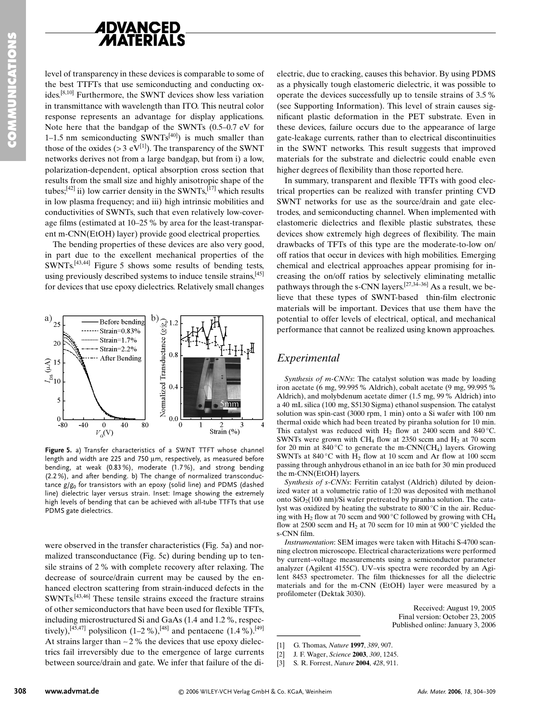

level of transparency in these devices is comparable to some of the best TTFTs that use semiconducting and conducting oxides.[8,10] Furthermore, the SWNT devices show less variation in transmittance with wavelength than ITO. This neutral color response represents an advantage for display applications. Note here that the bandgap of the SWNTs (0.5–0.7 eV for 1–1.5 nm semiconducting  $SWNTs^{[40]}$ ) is much smaller than those of the oxides ( $> 3$  eV<sup>[1]</sup>). The transparency of the SWNT networks derives not from a large bandgap, but from i) a low, polarization-dependent, optical absorption cross section that results from the small size and highly anisotropic shape of the tubes;<sup>[42]</sup> ii) low carrier density in the SWNTs,<sup>[17]</sup> which results in low plasma frequency; and iii) high intrinsic mobilities and conductivities of SWNTs, such that even relatively low-coverage films (estimated at 10–25 % by area for the least-transparent m-CNN(EtOH) layer) provide good electrical properties.

The bending properties of these devices are also very good, in part due to the excellent mechanical properties of the SWNTs.[43,44] Figure 5 shows some results of bending tests, using previously described systems to induce tensile strains,<sup>[45]</sup> for devices that use epoxy dielectrics. Relatively small changes



**Figure 5.** a) Transfer characteristics of a SWNT TTFT whose channel length and width are 225 and 750  $\mu$ m, respectively, as measured before bending, at weak (0.83 %), moderate (1.7 %), and strong bending (2.2 %), and after bending. b) The change of normalized transconductance *g*/*g*<sup>0</sup> for transistors with an epoxy (solid line) and PDMS (dashed line) dielectric layer versus strain. Inset: Image showing the extremely high levels of bending that can be achieved with all-tube TTFTs that use PDMS gate dielectrics.

were observed in the transfer characteristics (Fig. 5a) and normalized transconductance (Fig. 5c) during bending up to tensile strains of 2 % with complete recovery after relaxing. The decrease of source/drain current may be caused by the enhanced electron scattering from strain-induced defects in the SWNTs.[43,46] These tensile strains exceed the fracture strains of other semiconductors that have been used for flexible TFTs, including microstructured Si and GaAs (1.4 and 1.2%, respectively),  $[45,47]$  polysilicon  $(1-2\%)$ ,  $[48]$  and pentacene  $(1.4\%)$ .  $[49]$ At strains larger than ∼2% the devices that use epoxy dielectrics fail irreversibly due to the emergence of large currents between source/drain and gate. We infer that failure of the di-

electric, due to cracking, causes this behavior. By using PDMS as a physically tough elastomeric dielectric, it was possible to operate the devices successfully up to tensile strains of 3.5% (see Supporting Information). This level of strain causes significant plastic deformation in the PET substrate. Even in these devices, failure occurs due to the appearance of large gate-leakage currents, rather than to electrical discontinuities in the SWNT networks. This result suggests that improved materials for the substrate and dielectric could enable even higher degrees of flexibility than those reported here.

In summary, transparent and flexible TFTs with good electrical properties can be realized with transfer printing CVD SWNT networks for use as the source/drain and gate electrodes, and semiconducting channel. When implemented with elastomeric dielectrics and flexible plastic substrates, these devices show extremely high degrees of flexibility. The main drawbacks of TFTs of this type are the moderate-to-low on/ off ratios that occur in devices with high mobilities. Emerging chemical and electrical approaches appear promising for increasing the on/off ratios by selectively eliminating metallic pathways through the s-CNN layers.[27,34–36] As a result, we believe that these types of SWNT-based thin-film electronic materials will be important. Devices that use them have the potential to offer levels of electrical, optical, and mechanical performance that cannot be realized using known approaches.

## *Experimental*

*Synthesis of m-CNNs*: The catalyst solution was made by loading iron acetate (6 mg, 99.995% Aldrich), cobalt acetate (9 mg, 99.995% Aldrich), and molybdenum acetate dimer (1.5 mg, 99% Aldrich) into a 40 mL silica (100 mg, S5130 Sigma) ethanol suspension. The catalyst solution was spin-cast (3000 rpm, 1 min) onto a Si wafer with 100 nm thermal oxide which had been treated by piranha solution for 10 min. This catalyst was reduced with  $H_2$  flow at 2400 sccm and 840 °C. SWNTs were grown with CH<sub>4</sub> flow at  $2350$  sccm and H<sub>2</sub> at 70 sccm for 20 min at  $840\degree$ C to generate the m-CNN(CH<sub>4</sub>) layers. Growing SWNTs at  $840^{\circ}$ C with H<sub>2</sub> flow at 10 sccm and Ar flow at 100 sccm passing through anhydrous ethanol in an ice bath for 30 min produced the m-CNN(EtOH) layers.

*Synthesis of s-CNNs*: Ferritin catalyst (Aldrich) diluted by deionized water at a volumetric ratio of 1:20 was deposited with methanol onto  $SiO<sub>2</sub>(100 nm)/Si$  wafer pretreated by piranha solution. The catalyst was oxidized by heating the substrate to 800 °C in the air. Reducing with H<sub>2</sub> flow at 70 sccm and 900 °C followed by growing with CH<sub>4</sub> flow at 2500 sccm and  $H_2$  at 70 sccm for 10 min at 900 °C yielded the s-CNN film.

*Instrumentation*: SEM images were taken with Hitachi S-4700 scanning electron microscope. Electrical characterizations were performed by current–voltage measurements using a semiconductor parameter analyzer (Agilent 4155C). UV–vis spectra were recorded by an Agilent 8453 spectrometer. The film thicknesses for all the dielectric materials and for the m-CNN (EtOH) layer were measured by a profilometer (Dektak 3030). ing with  $H_2$  flow at 70 scen<br>flow at 2500 sccm and  $H_2$ <br>s-CNN film.<br>*Instrumentation*: SEM in<br>ining electron microscope. I<br>by current-voltage measu<br>analyzer (Agilent 4155C).<br>lent 8453 spectrometer. T<br>materials and for

Received: August 19, 2005 Final version: October 23, 2005 Published online: January 3, 2006

[3] S. R. Forrest, *Nature* **2004**, *428*, 911.

<sup>[1]</sup> G. Thomas, *Nature* **1997**, *389*, 907.

<sup>[2]</sup> J. F. Wager, *Science* **2003**, *300*, 1245.